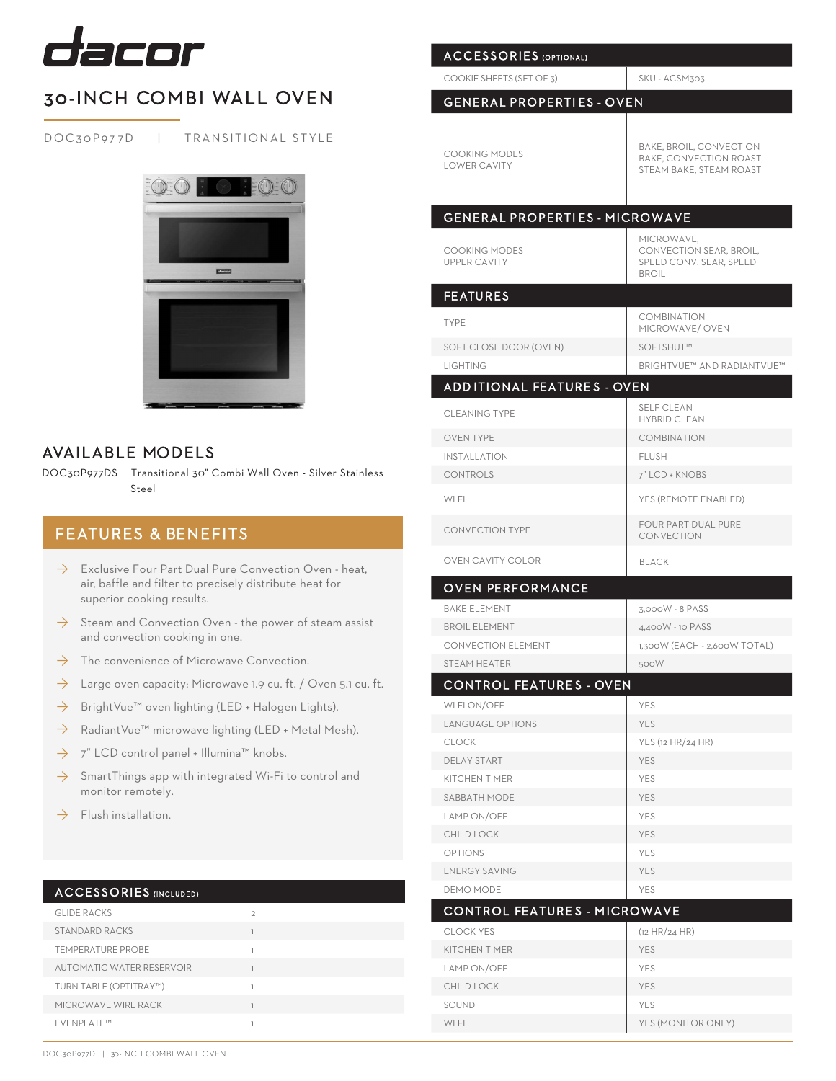

# 30-INCH COMBI WALL OVEN

DOC30P977D | TRANSITIONAL STYLE



## AVAILABLE MODELS

DOC30P977DS Transitional 30" Combi Wall Oven - Silver Stainless Steel

## FEATURES & BENEFITS

- $\rightarrow$  Exclusive Four Part Dual Pure Convection Oven heat, air, baffle and filter to precisely distribute heat for superior cooking results.
- $\rightarrow$  Steam and Convection Oven the power of steam assist and convection cooking in one.
- The convenience of Microwave Convection.  $\rightarrow$
- Large oven capacity: Microwave 1.9 cu. ft. / Oven 5.1 cu. ft.  $\rightarrow$
- BrightVue™ oven lighting (LED + Halogen Lights). ◊
- RadiantVue™ microwave lighting (LED + Metal Mesh). ◊
- 7" LCD control panel + Illumina™ knobs. ◊
- SmartThings app with integrated Wi-Fi to control and monitor remotely. ◊
- Flush installation.  $\rightarrow$

### ACCESSORIES (INCLUDED)

| <b>GLIDE RACKS</b>               | $\mathfrak{D}$ |
|----------------------------------|----------------|
| <b>STANDARD RACKS</b>            |                |
| <b>TEMPERATURE PROBE</b>         | э              |
| <b>AUTOMATIC WATER RESERVOIR</b> | э              |
| TURN TABLE (OPTITRAY™)           | э              |
| MICROWAVE WIRE RACK              |                |
| EVENPLATE™                       | 1              |

| <b>ACCESSORIES</b> (OPTIONAL)               |                                                                                  |
|---------------------------------------------|----------------------------------------------------------------------------------|
| COOKIE SHEETS (SET OF 3)                    | SKU - ACSM303                                                                    |
| <b>GENERAL PROPERTIES - OVEN</b>            |                                                                                  |
|                                             |                                                                                  |
| <b>COOKING MODES</b><br><b>LOWER CAVITY</b> | BAKE, BROIL, CONVECTION<br>BAKE, CONVECTION ROAST,<br>STEAM BAKE, STEAM ROAST    |
|                                             |                                                                                  |
| <b>GENERAL PROPERTIES - MICROWAVE</b>       |                                                                                  |
| <b>COOKING MODES</b><br><b>UPPER CAVITY</b> | MICROWAVE,<br>CONVECTION SEAR, BROIL,<br>SPEED CONV. SEAR, SPEED<br><b>BROIL</b> |
| <b>FEATURES</b>                             |                                                                                  |
| <b>TYPE</b>                                 | <b>COMBINATION</b><br>MICROWAVE/ OVEN                                            |
| SOFT CLOSE DOOR (OVEN)                      | SOFTSHUT™                                                                        |
| <b>LIGHTING</b>                             | <b>BRIGHTVUE™ AND RADIANTVUE™</b>                                                |
| <b>ADDITIONAL FEATURES - OVEN</b>           |                                                                                  |
| <b>CLEANING TYPE</b>                        | <b>SELF CLEAN</b><br><b>HYBRID CLEAN</b>                                         |
| <b>OVEN TYPE</b>                            | <b>COMBINATION</b>                                                               |
| <b>INSTALLATION</b>                         | <b>FLUSH</b>                                                                     |
| <b>CONTROLS</b>                             | 7" LCD + KNOBS                                                                   |
| WI FI                                       | YES (REMOTE ENABLED)                                                             |
| <b>CONVECTION TYPE</b>                      | FOUR PART DUAL PURE<br>CONVECTION                                                |
|                                             |                                                                                  |
| OVEN CAVITY COLOR                           | <b>BLACK</b>                                                                     |
| <b>OVEN PERFORMANCE</b>                     |                                                                                  |
| <b>BAKE ELEMENT</b>                         | 3,000W - 8 PASS                                                                  |
| <b>BROIL ELEMENT</b>                        | 4,400W - 10 PASS                                                                 |
| <b>CONVECTION ELEMENT</b>                   | 1,300W (EACH - 2,600W TOTAL)                                                     |
| STEAM HEATER                                | 500W                                                                             |
| <b>CONTROL FEATURES - OVEN</b>              |                                                                                  |
| WI FI ON/OFF                                | <b>YES</b>                                                                       |
| <b>LANGUAGE OPTIONS</b>                     | <b>YES</b>                                                                       |
| <b>CLOCK</b>                                | YES (12 HR/24 HR)                                                                |
| DELAY START                                 | <b>YES</b>                                                                       |
| <b>KITCHEN TIMER</b>                        | YES                                                                              |
| <b>SABBATH MODE</b>                         | <b>YES</b>                                                                       |
| LAMP ON/OFF                                 | YES                                                                              |
| CHILD LOCK                                  | <b>YES</b>                                                                       |
| <b>OPTIONS</b>                              | YES                                                                              |
| <b>ENERGY SAVING</b>                        | <b>YES</b>                                                                       |
| <b>DEMO MODE</b>                            | YES                                                                              |
| CONTROL FEATURES - MICROWAVE                |                                                                                  |
| <b>CLOCK YES</b>                            | (12 HR/24 HR)                                                                    |
| <b>KITCHEN TIMER</b>                        | <b>YES</b>                                                                       |
| LAMP ON/OFF                                 | YES                                                                              |
| CHILD LOCK                                  | <b>YES</b>                                                                       |
| SOUND<br>WI FI                              | <b>YES</b><br>YES (MONITOR ONLY)                                                 |

DOC30P977D | 30-INCH COMBI WALL OVEN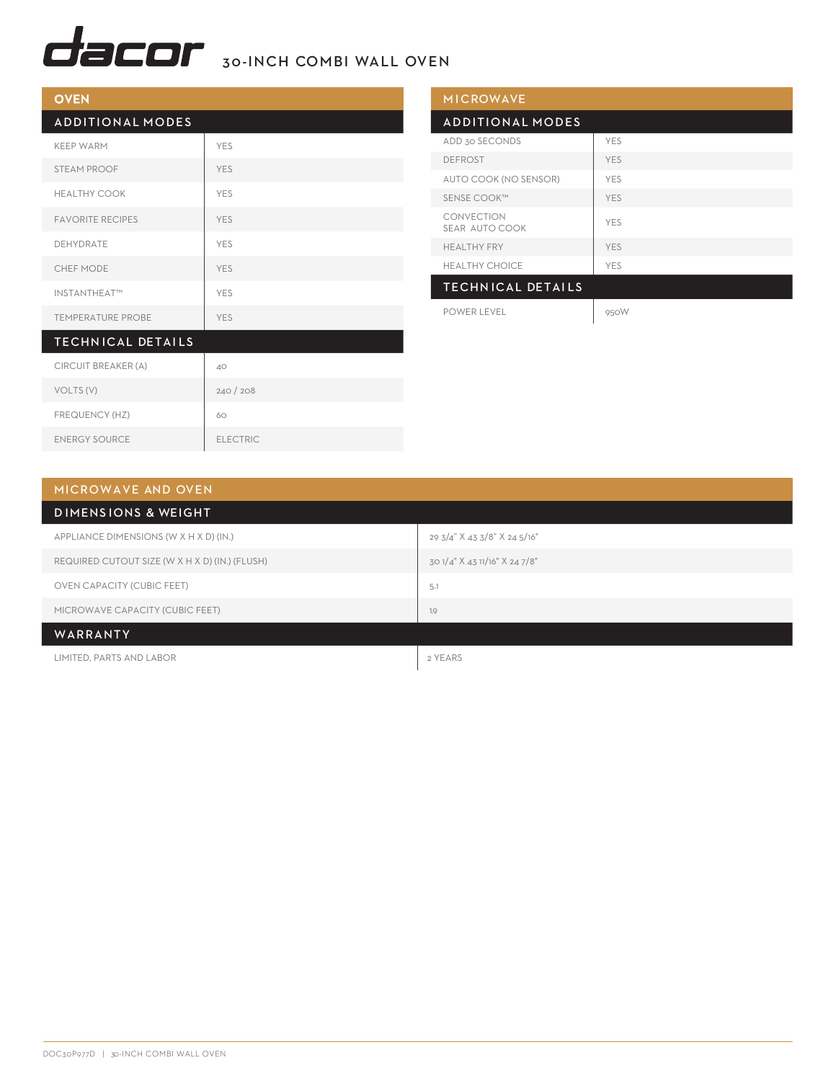

| <b>OVEN</b>              |            |
|--------------------------|------------|
| <b>ADDITIONAL MODES</b>  |            |
| <b>KEEP WARM</b>         | <b>YES</b> |
| STEAM PROOF              | <b>YES</b> |
| <b>HEALTHY COOK</b>      | <b>YES</b> |
| <b>FAVORITE RECIPES</b>  | <b>YES</b> |
| DEHYDRATE                | <b>YES</b> |
| <b>CHEF MODE</b>         | <b>YES</b> |
| INSTANTHEAT™             | <b>YES</b> |
| <b>TEMPERATURE PROBE</b> | <b>YES</b> |
| <b>TECHNICAL DETAILS</b> |            |
| CIRCUIT BREAKER (A)      | 40         |
| VOLTS (V)                | 240/208    |

| <b>MICROWAVE</b>             |            |
|------------------------------|------------|
| <b>ADDITIONAL MODES</b>      |            |
| ADD 30 SECONDS               | <b>YES</b> |
| <b>DEFROST</b>               | <b>YES</b> |
| AUTO COOK (NO SENSOR)        | <b>YES</b> |
| SENSE COOK™                  | <b>YES</b> |
| CONVECTION<br>SEAR AUTO COOK | <b>YES</b> |
| <b>HEALTHY FRY</b>           | <b>YES</b> |
| <b>HEALTHY CHOICE</b>        | <b>YES</b> |
| <b>TECHNICAL DETAILS</b>     |            |
| POWER LEVEL                  | 950W       |

| MICROWAVE AND OVEN                             |                               |
|------------------------------------------------|-------------------------------|
| <b>DIMENSIONS &amp; WEIGHT</b>                 |                               |
| APPLIANCE DIMENSIONS (W X H X D) (IN.)         | 29 3/4" X 43 3/8" X 24 5/16"  |
| REQUIRED CUTOUT SIZE (W X H X D) (IN.) (FLUSH) | 30 1/4" X 43 11/16" X 24 7/8" |
| <b>OVEN CAPACITY (CUBIC FEET)</b>              | 5.1                           |
| MICROWAVE CAPACITY (CUBIC FEET)                | 1.9                           |
| WARRANTY                                       |                               |

LIMITED, PARTS AND LABOR 2 YEARS

FREQUENCY (HZ) 60

ENERGY SOURCE ELECTRIC